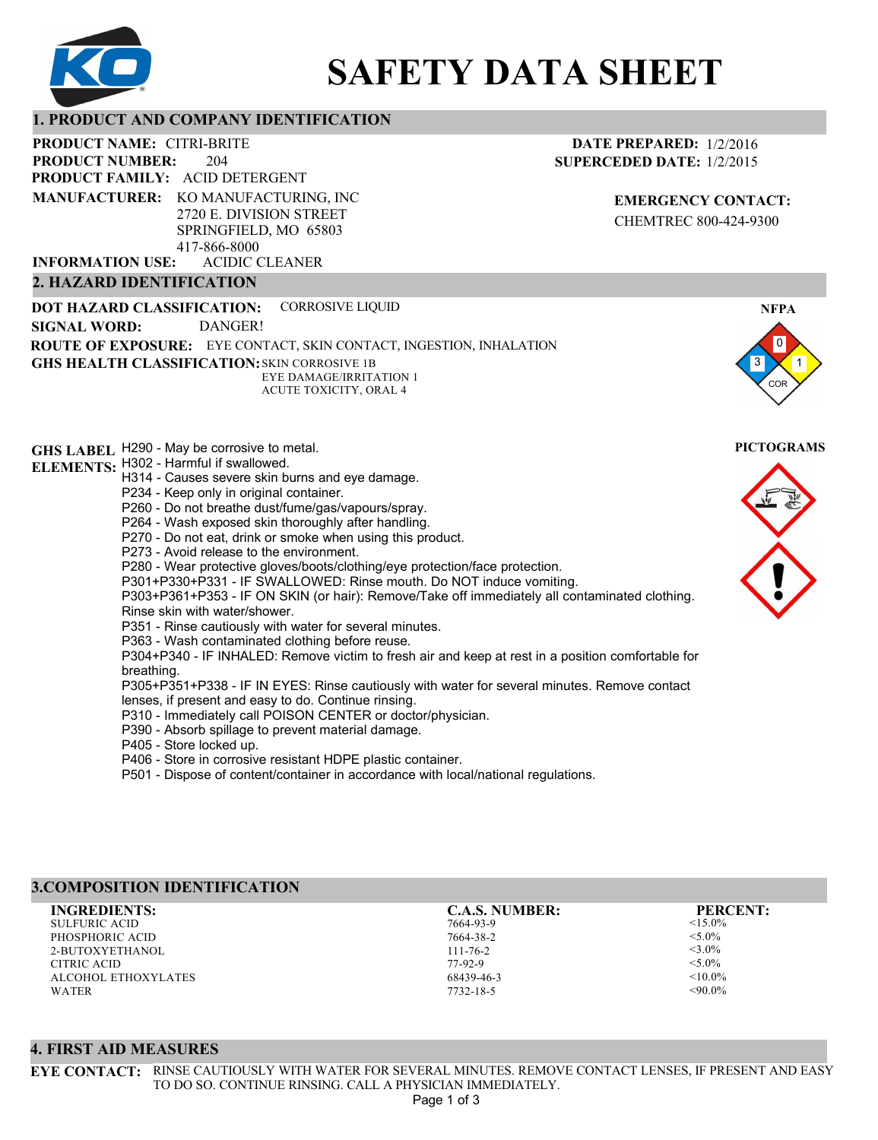

# **SAFETY DATA SHEET**

## **1. PRODUCT AND COMPANY IDENTIFICATION**

204 PRODUCT NAME: CITRI-BRITE **PRODUCT FAMILY: ACID DETERGENT** ACIDIC CLEANER **PRODUCT NUMBER: 2. HAZARD IDENTIFICATION MANUFACTURER:** KO MANUFACTURING, INC 2720 E. DIVISION STREET SPRINGFIELD, MO 65803 417-866-8000 **INFORMATION USE:**

#### **DATE PREPARED:** 1/2/2016 **SUPERCEDED DATE:** 1/2/2015

**EMERGENCY CONTACT:** CHEMTREC 800-424-9300

3 0 1 COR **NFPA DOT HAZARD CLASSIFICATION: GHS HEALTH CLASSIFICATION:** SKIN CORROSIVE 1B **ROUTE OF EXPOSURE:** EYE CONTACT, SKIN CONTACT, INGESTION, INHALATION **GHS LABEL**  H290 - May be corrosive to metal. **PICTOGRAMS ELEMENTS:** H302 - Harmful if swallowed. CORROSIVE LIQUID EYE DAMAGE/IRRITATION 1 ACUTE TOXICITY, ORAL 4 **SIGNAL WORD:** DANGER! H314 - Causes severe skin burns and eye damage. P234 - Keep only in original container. P260 - Do not breathe dust/fume/gas/vapours/spray. P264 - Wash exposed skin thoroughly after handling. P270 - Do not eat, drink or smoke when using this product. P273 - Avoid release to the environment. P280 - Wear protective gloves/boots/clothing/eye protection/face protection. P301+P330+P331 - IF SWALLOWED: Rinse mouth. Do NOT induce vomiting. P303+P361+P353 - IF ON SKIN (or hair): Remove/Take off immediately all contaminated clothing. Rinse skin with water/shower. P351 - Rinse cautiously with water for several minutes. P363 - Wash contaminated clothing before reuse. P304+P340 - IF INHALED: Remove victim to fresh air and keep at rest in a position comfortable for breathing. P305+P351+P338 - IF IN EYES: Rinse cautiously with water for several minutes. Remove contact lenses, if present and easy to do. Continue rinsing. P310 - Immediately call POISON CENTER or doctor/physician. P390 - Absorb spillage to prevent material damage. P405 - Store locked up. P406 - Store in corrosive resistant HDPE plastic container.

P501 - Dispose of content/container in accordance with local/national regulations.

# **3.COMPOSITION IDENTIFICATION**

SULFURIC ACID PHOSPHORIC ACID 2-BUTOXYETHANOL CITRIC ACID ALCOHOL ETHOXYLATES WATER **INGREDIENTS: C.A.S. NUMBER: PERCENT:**

7664-93-9 7664-38-2 111-76-2 77-92-9 68439-46-3

7732-18-5

 $<$ 15.0%  $<$  5.0% <3.0%  $<$ 5.0%  $< 10.0\%$  $<90.0\%$ 

# **4. FIRST AID MEASURES**

**EYE CONTACT:** RINSE CAUTIOUSLY WITH WATER FOR SEVERAL MINUTES. REMOVE CONTACT LENSES, IF PRESENT AND EASY TO DO SO. CONTINUE RINSING. CALL A PHYSICIAN IMMEDIATELY. Page 1 of 3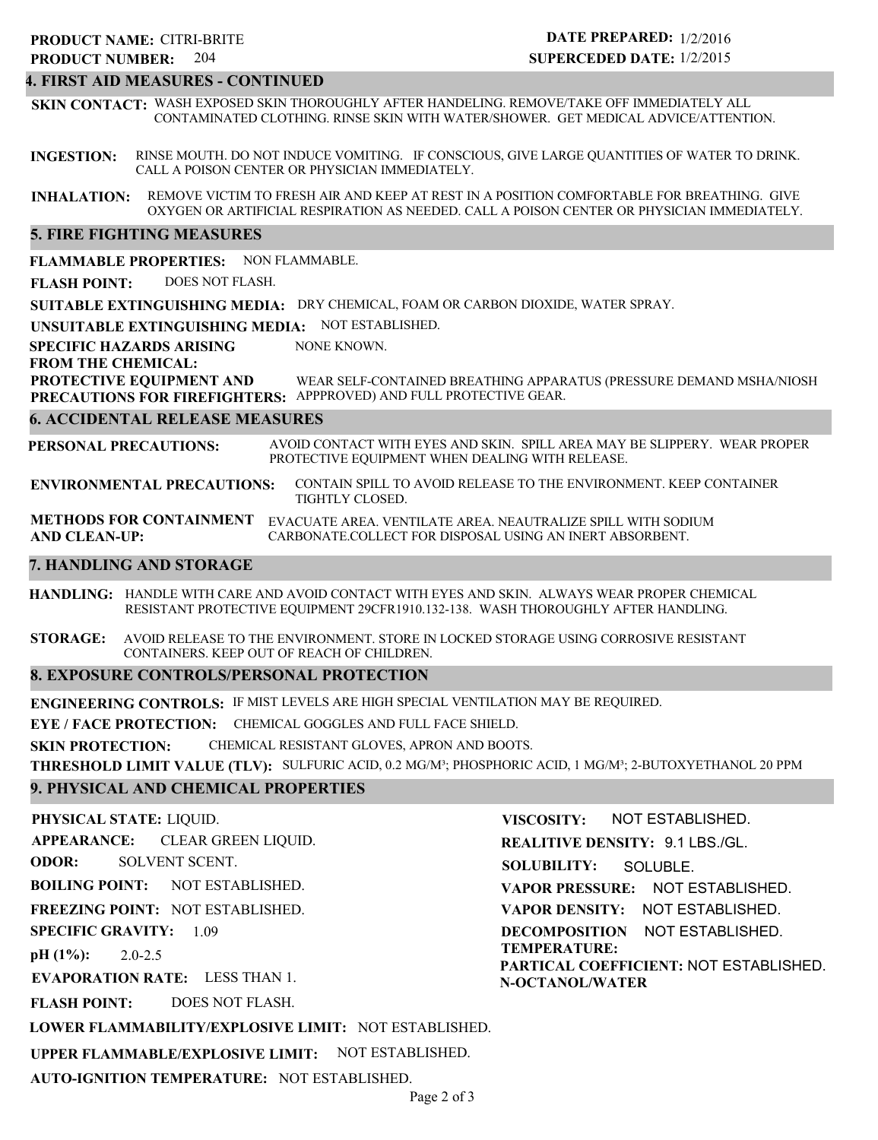# 204 **PRODUCT NUMBER: PRODUCT NAME: CITRI-BRITE**

# **DATE PREPARED:** 1/2/2016 **SUPERCEDED DATE:** 1/2/2015

# **4. FIRST AID MEASURES - CONTINUED**

**SKIN CONTACT:** WASH EXPOSED SKIN THOROUGHLY AFTER HANDELING. REMOVE/TAKE OFF IMMEDIATELY ALL CONTAMINATED CLOTHING. RINSE SKIN WITH WATER/SHOWER. GET MEDICAL ADVICE/ATTENTION.

**INGESTION:** RINSE MOUTH. DO NOT INDUCE VOMITING. IF CONSCIOUS, GIVE LARGE QUANTITIES OF WATER TO DRINK. CALL A POISON CENTER OR PHYSICIAN IMMEDIATELY.

**INHALATION:** REMOVE VICTIM TO FRESH AIR AND KEEP AT REST IN A POSITION COMFORTABLE FOR BREATHING. GIVE OXYGEN OR ARTIFICIAL RESPIRATION AS NEEDED. CALL A POISON CENTER OR PHYSICIAN IMMEDIATELY.

# **5. FIRE FIGHTING MEASURES**

**FLAMMABLE PROPERTIES:** NON FLAMMABLE.

**FLASH POINT:** DOES NOT FLASH.

**SUITABLE EXTINGUISHING MEDIA:** DRY CHEMICAL, FOAM OR CARBON DIOXIDE, WATER SPRAY.

**UNSUITABLE EXTINGUISHING MEDIA:** NOT ESTABLISHED.

**SPECIFIC HAZARDS ARISING** NONE KNOWN.

**FROM THE CHEMICAL:**

**PROTECTIVE EQUIPMENT AND PRECAUTIONS FOR FIREFIGHTERS:** APPPROVED) AND FULL PROTECTIVE GEAR. WEAR SELF-CONTAINED BREATHING APPARATUS (PRESSURE DEMAND MSHA/NIOSH

#### **6. ACCIDENTAL RELEASE MEASURES**

**PERSONAL PRECAUTIONS:** AVOID CONTACT WITH EYES AND SKIN. SPILL AREA MAY BE SLIPPERY. WEAR PROPER PROTECTIVE EQUIPMENT WHEN DEALING WITH RELEASE.

**ENVIRONMENTAL PRECAUTIONS:** CONTAIN SPILL TO AVOID RELEASE TO THE ENVIRONMENT. KEEP CONTAINER TIGHTLY CLOSED.

**METHODS FOR CONTAINMENT** EVACUATE AREA. VENTILATE AREA. NEAUTRALIZE SPILL WITH SODIUM **AND CLEAN-UP:** CARBONATE.COLLECT FOR DISPOSAL USING AN INERT ABSORBENT.

#### **7. HANDLING AND STORAGE**

**HANDLING:** HANDLE WITH CARE AND AVOID CONTACT WITH EYES AND SKIN. ALWAYS WEAR PROPER CHEMICAL RESISTANT PROTECTIVE EQUIPMENT 29CFR1910.132-138. WASH THOROUGHLY AFTER HANDLING.

**STORAGE:** AVOID RELEASE TO THE ENVIRONMENT. STORE IN LOCKED STORAGE USING CORROSIVE RESISTANT CONTAINERS. KEEP OUT OF REACH OF CHILDREN.

#### **8. EXPOSURE CONTROLS/PERSONAL PROTECTION**

**ENGINEERING CONTROLS:** IF MIST LEVELS ARE HIGH SPECIAL VENTILATION MAY BE REQUIRED.

**EYE / FACE PROTECTION:** CHEMICAL GOGGLES AND FULL FACE SHIELD.

**SKIN PROTECTION:** CHEMICAL RESISTANT GLOVES, APRON AND BOOTS.

**THRESHOLD LIMIT VALUE (TLV):** SULFURIC ACID, 0.2 MG/M³; PHOSPHORIC ACID, 1 MG/M³; 2-BUTOXYETHANOL 20 PPM

# **9. PHYSICAL AND CHEMICAL PROPERTIES**

#### **PHYSICAL STATE:** LIQUID.

**APPEARANCE:** CLEAR GREEN LIQUID.

**ODOR:** SOLVENT SCENT.

**BOILING POINT:** NOT ESTABLISHED.

**FREEZING POINT:** NOT ESTABLISHED.

**SPECIFIC GRAVITY:** 1.09

**pH (1%):** 2.0-2.5

**EVAPORATION RATE:** LESS THAN 1.

**FLASH POINT:** DOES NOT FLASH.

**LOWER FLAMMABILITY/EXPLOSIVE LIMIT:** NOT ESTABLISHED.

**UPPER FLAMMABLE/EXPLOSIVE LIMIT:** NOT ESTABLISHED.

**AUTO-IGNITION TEMPERATURE:** NOT ESTABLISHED.

**VISCOSITY: REALITIVE DENSITY:** 9.1 LBS./GL. **SOLUBILITY: VAPOR PRESSURE:** NOT ESTABLISHED. **VAPOR DENSITY:** NOT ESTABLISHED. **DECOMPOSITION** NOT ESTABLISHED. **TEMPERATURE: PARTICAL COEFFICIENT:** NOT ESTABLISHED. **N-OCTANOL/WATER** NOT ESTABLISHED. SOLUBLE.